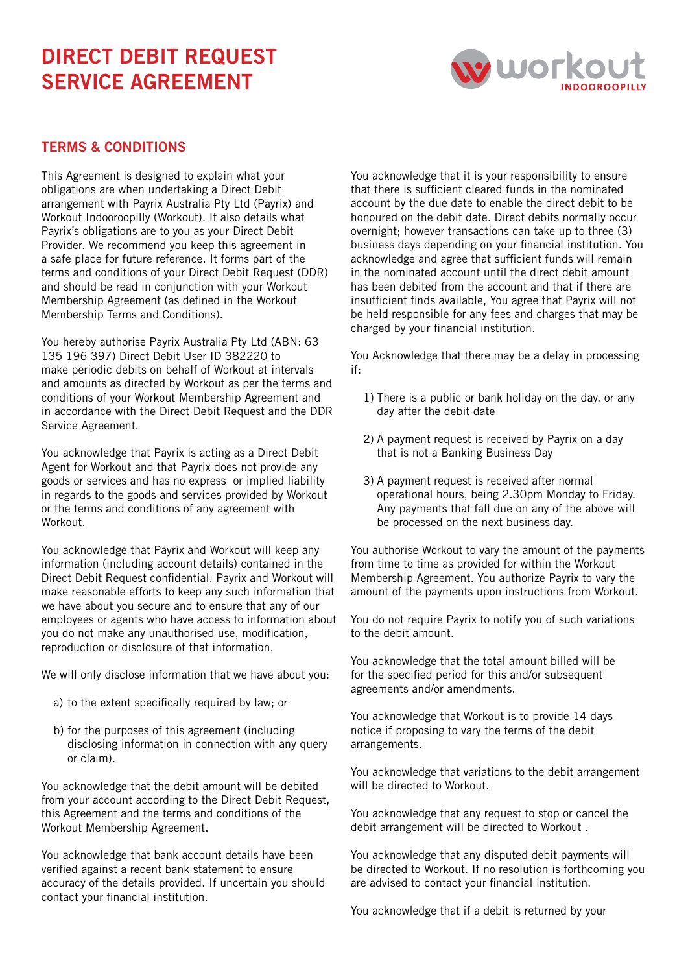## DIRECT DEBIT REQUEST SERVICE AGREEMENT



## TERMS & CONDITIONS

This Agreement is designed to explain what your obligations are when undertaking a Direct Debit arrangement with Payrix Australia Pty Ltd (Payrix) and Workout Indooroopilly (Workout). It also details what Payrix's obligations are to you as your Direct Debit Provider. We recommend you keep this agreement in a safe place for future reference. It forms part of the terms and conditions of your Direct Debit Request (DDR) and should be read in conjunction with your Workout Membership Agreement (as defined in the Workout Membership Terms and Conditions).

You hereby authorise Payrix Australia Pty Ltd (ABN: 63 135 196 397) Direct Debit User ID 382220 to make periodic debits on behalf of Workout at intervals and amounts as directed by Workout as per the terms and conditions of your Workout Membership Agreement and in accordance with the Direct Debit Request and the DDR Service Agreement.

You acknowledge that Payrix is acting as a Direct Debit Agent for Workout and that Payrix does not provide any goods or services and has no express or implied liability in regards to the goods and services provided by Workout or the terms and conditions of any agreement with Workout.

You acknowledge that Payrix and Workout will keep any information (including account details) contained in the Direct Debit Request confidential. Payrix and Workout will make reasonable efforts to keep any such information that we have about you secure and to ensure that any of our employees or agents who have access to information about you do not make any unauthorised use, modification, reproduction or disclosure of that information.

We will only disclose information that we have about you:

- a) to the extent specifically required by law; or
- b) for the purposes of this agreement (including disclosing information in connection with any query or claim).

You acknowledge that the debit amount will be debited from your account according to the Direct Debit Request, this Agreement and the terms and conditions of the Workout Membership Agreement.

You acknowledge that bank account details have been verified against a recent bank statement to ensure accuracy of the details provided. If uncertain you should contact your financial institution.

You acknowledge that it is your responsibility to ensure that there is sufficient cleared funds in the nominated account by the due date to enable the direct debit to be honoured on the debit date. Direct debits normally occur overnight; however transactions can take up to three (3) business days depending on your financial institution. You acknowledge and agree that sufficient funds will remain in the nominated account until the direct debit amount has been debited from the account and that if there are insufficient finds available, You agree that Payrix will not be held responsible for any fees and charges that may be charged by your financial institution.

You Acknowledge that there may be a delay in processing if:

- 1) There is a public or bank holiday on the day, or any day after the debit date
- 2) A payment request is received by Payrix on a day that is not a Banking Business Day
- 3) A payment request is received after normal operational hours, being 2.30pm Monday to Friday. Any payments that fall due on any of the above will be processed on the next business day.

You authorise Workout to vary the amount of the payments from time to time as provided for within the Workout Membership Agreement. You authorize Payrix to vary the amount of the payments upon instructions from Workout.

You do not require Payrix to notify you of such variations to the debit amount.

You acknowledge that the total amount billed will be for the specified period for this and/or subsequent agreements and/or amendments.

You acknowledge that Workout is to provide 14 days notice if proposing to vary the terms of the debit arrangements.

You acknowledge that variations to the debit arrangement will be directed to Workout.

You acknowledge that any request to stop or cancel the debit arrangement will be directed to Workout .

You acknowledge that any disputed debit payments will be directed to Workout. If no resolution is forthcoming you are advised to contact your financial institution.

You acknowledge that if a debit is returned by your